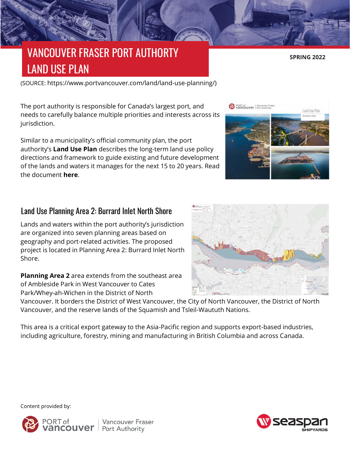# VANCOUVER FRASER PORT AUTHORTY LAND USE PLAN

(SOURCE: https://www.portvancouver.com/land/land-use-planning/)

The port authority is responsible for Canada's largest port, and needs to carefully balance multiple priorities and interests across its jurisdiction.

Similar to a municipality's official community plan, the port authority's **[Land Use Plan](https://www.portvancouver.com/wp-content/uploads/2019/11/500_POV-Land-Use-Plan_FINAL-2.pdf)** describes the long-term land use policy directions and framework to guide existing and future development of the lands and waters it manages for the next 15 to 20 years. Read the document **[here](https://www.portvancouver.com/wp-content/uploads/2019/11/500_POV-Land-Use-Plan_FINAL-2.pdf)**.

## Land Use Planning Area 2: Burrard Inlet North Shore

Lands and waters within the port authority's jurisdiction are organized into seven planning areas based on geography and port-related activities. The proposed project is located in Planning Area 2: Burrard Inlet North Shore.

**[Planning Area 2](https://www.portvancouver.com/wp-content/uploads/2019/11/G2020-077-Area-2.pdf)** area extends from the southeast area of Ambleside Park in West Vancouver to Cates Park/Whey-ah-Wichen in the District of North

Vancouver. It borders the District of West Vancouver, the City of North Vancouver, the District of North Vancouver, and the reserve lands of the Squamish and Tsleil-Waututh Nations.

This area is a critical export gateway to the Asia-Pacific region and supports export-based industries, including agriculture, forestry, mining and manufacturing in British Columbia and across Canada.

Content provided by: